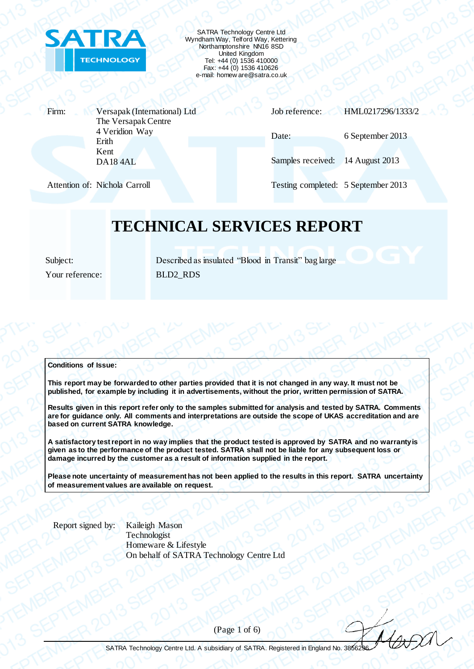

SATRA Technology Centre Ltd Wyndham Way, Telford Way, Kettering Northamptonshire NN16 8SD United Kingdom Tel: +44 (0) 1536 410000 Fax: +44 (0) 1536 410626 e-mail: homew are@satra.co.uk

Firm: Versapak (International) Ltd The Versapak Centre 4 Veridion Way Erith Kent DA18 4AL

Job reference: HML0217296/1333/2

Samples received: 14 August 2013

Attention of: Nichola Carroll Testing completed: 5 September 2013

Date: 6 September 2013

### **TECHNICAL SERVICES REPORT**

Subject: Described as insulated "Blood in Transit" bag large Your reference: BLD2\_RDS

#### **Conditions of Issue:**

**This report may be forwarded to other parties provided that it is not changed in any way. It must not be published, for example by including it in advertisements, without the prior, written permission of SATRA.**

**Results given in this report refer only to the samples submitted for analysis and tested by SATRA. Comments are for guidance only. All comments and interpretations are outside the scope of UKAS accreditation and are based on current SATRA knowledge.**

**A satisfactory test report in no way implies that the product tested is approved by SATRA and no warranty is given as to the performance of the product tested. SATRA shall not be liable for any subsequent loss or damage incurred by the customer as a result of information supplied in the report.**

**Please note uncertainty of measurement has not been applied to the results in this report. SATRA uncertainty of measurement values are available on request.**

Report signed by: Kaileigh Mason

Technologist Homeware & Lifestyle On behalf of SATRA Technology Centre Ltd

(Page 1 of 6)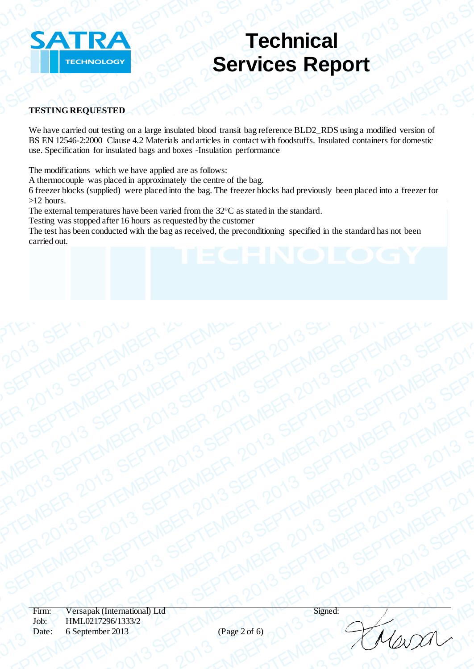

### **TESTING REQUESTED**

We have carried out testing on a large insulated blood transit bag reference BLD2\_RDS using a modified version of BS EN 12546-2:2000 Clause 4.2 Materials and articles in contact with foodstuffs. Insulated containers for domestic use. Specification for insulated bags and boxes -Insulation performance

The modifications which we have applied are as follows:

A thermocouple was placed in approximately the centre of the bag.

6 freezer blocks (supplied) were placed into the bag. The freezer blocks had previously been placed into a freezer for >12 hours.

The external temperatures have been varied from the 32°C as stated in the standard.

Testing was stopped after 16 hours as requested by the customer

The test has been conducted with the bag as received, the preconditioning specified in the standard has not been carried out.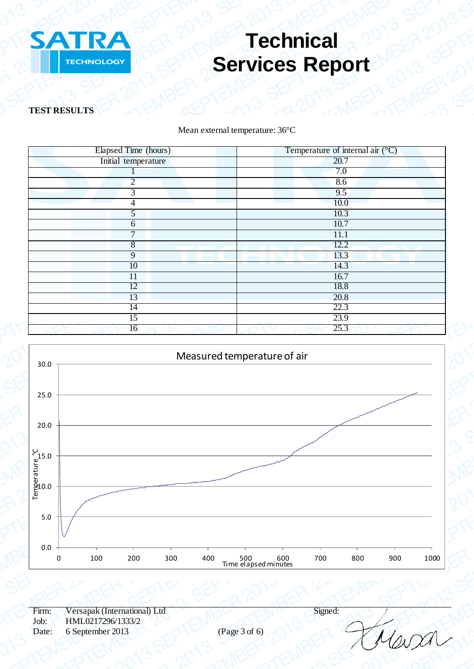

**TEST RESULTS**

Mean external temperature: 36°C

| Elapsed Time (hours)                                | Temperature of internal air $(^{\circ}C)$          |
|-----------------------------------------------------|----------------------------------------------------|
| Initial temperature                                 | 20.7                                               |
|                                                     | 7.0                                                |
| $\overline{2}$                                      | 8.6                                                |
| $\overline{3}$                                      | 9.5                                                |
| $\overline{4}$<br>and the control of the control of | 10.0<br><b>Contract Contract Contract Contract</b> |
| $\overline{5}$                                      | 10.3                                               |
| $\boldsymbol{6}$                                    | 10.7                                               |
| $\overline{7}$                                      | 11.1                                               |
| $\overline{8}$                                      | 12.2                                               |
| $\overline{9}$                                      | 13.3                                               |
| 10                                                  | 14.3                                               |
| 11                                                  | 16.7                                               |
| 12                                                  | 18.8                                               |
| 13                                                  | 20.8                                               |
| $\overline{14}$                                     | 22.3                                               |
| 15                                                  | 23.9                                               |
| 16                                                  | 25.3                                               |

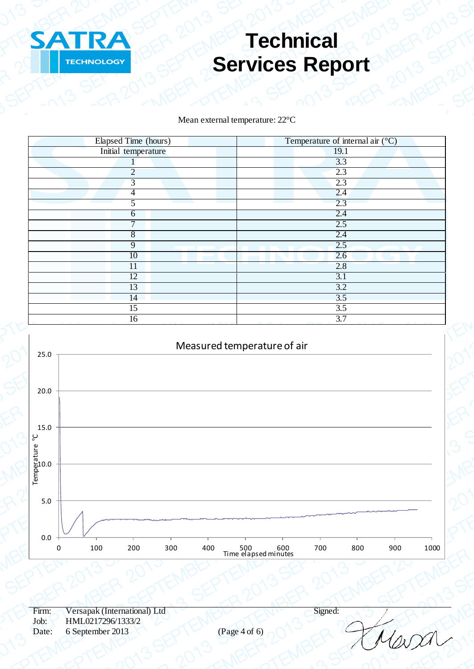

Mean external temperature: 22°C

| Elapsed Time (hours) | Temperature of internal air $(^{\circ}C)$ |
|----------------------|-------------------------------------------|
| Initial temperature  | 19.1                                      |
|                      | 3.3                                       |
| $\overline{2}$       | 2.3                                       |
| 3                    | 2.3                                       |
| $\overline{4}$       | 2.4                                       |
| 5                    | 2.3                                       |
| 6                    | 2.4                                       |
| $\mathcal{I}$        | 2.5                                       |
| $\sqrt{8}$           | 2.4                                       |
| $\overline{9}$       | 2.5                                       |
| 10                   | 2.6                                       |
| 11                   | 2.8                                       |
| 12                   | 3.1                                       |
| 13                   | 3.2                                       |
| 14                   | 3.5                                       |
| $\overline{15}$      | $\overline{3.5}$                          |
| 16                   | 3.7                                       |



 $\omega\alpha$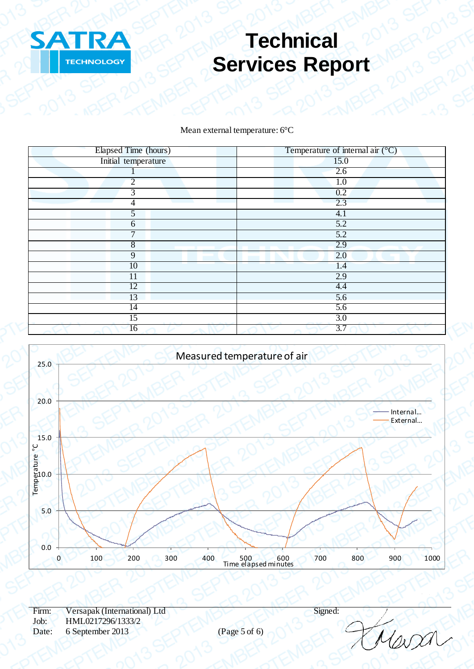

### Mean external temperature: 6°C

| Elapsed Time (hours)   | Temperature of internal air $({}^{\circ}C)$ |
|------------------------|---------------------------------------------|
| Initial temperature    | 15.0                                        |
|                        | 2.6                                         |
| $\overline{2}$         | 1.0                                         |
| $\overline{3}$         | 0.2                                         |
| 4                      | 2.3                                         |
| 5                      | 4.1                                         |
| 6                      | 5.2                                         |
| $\overline{7}$         | 5.2                                         |
| 8                      | 2.9                                         |
| $\overline{9}$         | 2.0                                         |
| 10                     | 1.4                                         |
| 11                     | 2.9                                         |
| 12                     | 4.4                                         |
| 13                     | $\overline{5.6}$                            |
| 14                     | 5.6                                         |
| 15                     | 3.0                                         |
| $\overline{16}$<br>وسر | 3.7                                         |